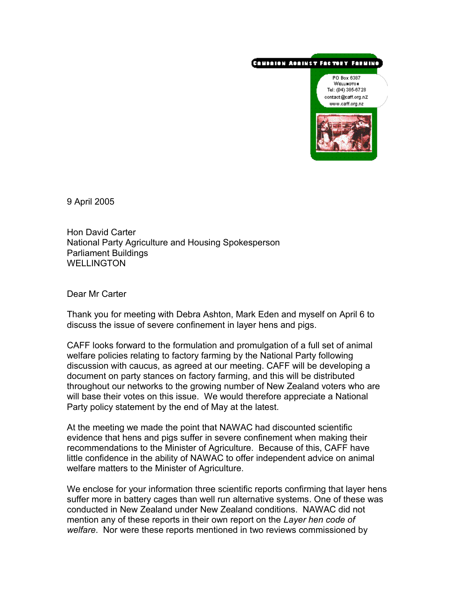## CAMBAION ACAINST FACTORY FARMING



9 April 2005

Hon David Carter National Party Agriculture and Housing Spokesperson Parliament Buildings WELL INGTON

Dear Mr Carter

Thank you for meeting with Debra Ashton, Mark Eden and myself on April 6 to discuss the issue of severe confinement in layer hens and pigs.

CAFF looks forward to the formulation and promulgation of a full set of animal welfare policies relating to factory farming by the National Party following discussion with caucus, as agreed at our meeting. CAFF will be developing a document on party stances on factory farming, and this will be distributed throughout our networks to the growing number of New Zealand voters who are will base their votes on this issue. We would therefore appreciate a National Party policy statement by the end of May at the latest.

At the meeting we made the point that NAWAC had discounted scientific evidence that hens and pigs suffer in severe confinement when making their recommendations to the Minister of Agriculture. Because of this, CAFF have little confidence in the ability of NAWAC to offer independent advice on animal welfare matters to the Minister of Agriculture.

We enclose for your information three scientific reports confirming that layer hens suffer more in battery cages than well run alternative systems. One of these was conducted in New Zealand under New Zealand conditions. NAWAC did not mention any of these reports in their own report on the *Layer hen code of welfare*. Nor were these reports mentioned in two reviews commissioned by